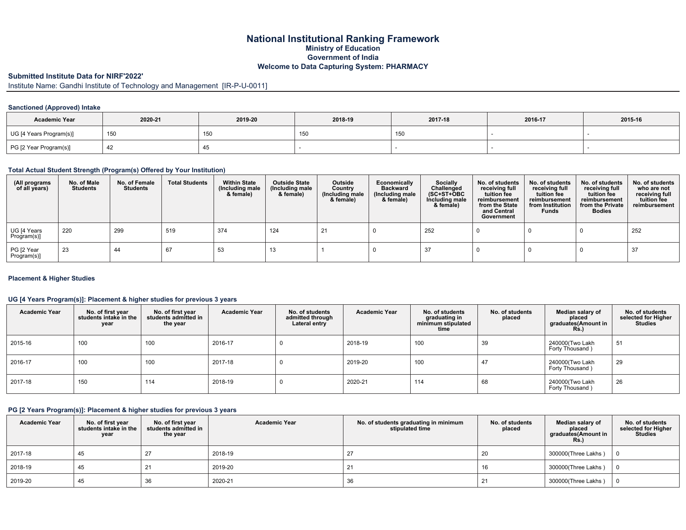## **National Institutional Ranking Framework Ministry of Education Government of India Welcome to Data Capturing System: PHARMACY**

## **Submitted Institute Data for NIRF'2022'**

Institute Name: Gandhi Institute of Technology and Management [IR-P-U-0011]

#### **Sanctioned (Approved) Intake**

| <b>Academic Year</b>    | 2020-21 | 2019-20 | 2018-19 | 2017-18 | 2016-17 | 2015-16 |
|-------------------------|---------|---------|---------|---------|---------|---------|
| UG [4 Years Program(s)] | 150     | 15L     | 150     |         |         |         |
| PG [2 Year Program(s)]  | 42      |         |         |         |         |         |

#### **Total Actual Student Strength (Program(s) Offered by Your Institution)**

| (All programs<br>of all years) | No. of Male<br><b>Students</b> | No. of Female<br>Students | <b>Total Students</b> | <b>Within State</b><br>(Including male)<br>& female) | <b>Outside State</b><br>(Including male<br>& female) | Outside<br>Country<br>(Including male<br>& female) | Economically<br><b>Backward</b><br>(Including male<br>& female) | Socially<br>Challenged<br>$(SC+ST+OBC$<br>Including male<br>& female) | No. of students<br>receiving full<br>tuition fee<br>reimbursement<br>from the State<br>and Central<br>Government | No. of students<br>receiving full<br>tuition fee<br>reimbursement<br>from Institution<br><b>Funds</b> | No. of students<br>receiving full<br>tuition fee<br>reimbursement<br>from the Private<br><b>Bodies</b> | No. of students<br>who are not<br>receiving full<br>tuition fee<br>reimbursement |
|--------------------------------|--------------------------------|---------------------------|-----------------------|------------------------------------------------------|------------------------------------------------------|----------------------------------------------------|-----------------------------------------------------------------|-----------------------------------------------------------------------|------------------------------------------------------------------------------------------------------------------|-------------------------------------------------------------------------------------------------------|--------------------------------------------------------------------------------------------------------|----------------------------------------------------------------------------------|
| UG [4 Years<br>Program(s)]     | 220                            | 299                       | 519                   | 374                                                  | 124                                                  | 21                                                 |                                                                 | 252                                                                   |                                                                                                                  |                                                                                                       |                                                                                                        | 252                                                                              |
| PG [2 Year<br>Program(s)]      | 23                             | 44                        | 67                    | 53                                                   | 13                                                   |                                                    |                                                                 | 37                                                                    |                                                                                                                  |                                                                                                       |                                                                                                        | 37                                                                               |

#### **Placement & Higher Studies**

#### **UG [4 Years Program(s)]: Placement & higher studies for previous 3 years**

| <b>Academic Year</b> | No. of first year<br>students intake in the<br>year | No. of first vear<br>students admitted in<br>the year | <b>Academic Year</b> | No. of students<br>admitted through<br>Lateral entry | <b>Academic Year</b> | No. of students<br>graduating in<br>minimum stipulated<br>time | No. of students<br>placed | Median salary of<br>placed<br>graduates(Amount in<br>Rs. | No. of students<br>selected for Higher<br><b>Studies</b> |
|----------------------|-----------------------------------------------------|-------------------------------------------------------|----------------------|------------------------------------------------------|----------------------|----------------------------------------------------------------|---------------------------|----------------------------------------------------------|----------------------------------------------------------|
| 2015-16              | 100                                                 | 100                                                   | 2016-17              |                                                      | 2018-19              | 100                                                            | 39                        | 240000(Two Lakh<br>Forty Thousand)                       | 51                                                       |
| 2016-17              | 100                                                 | 100                                                   | 2017-18              |                                                      | 2019-20              | 100                                                            | 47                        | 240000(Two Lakh<br>Forty Thousand)                       | 29                                                       |
| 2017-18              | 150                                                 | 114                                                   | 2018-19              |                                                      | 2020-21              | 114                                                            | 68                        | 240000(Two Lakh<br>Forty Thousand)                       | 26                                                       |

### **PG [2 Years Program(s)]: Placement & higher studies for previous 3 years**

| <b>Academic Year</b> | No. of first year<br>students intake in the<br>year | No. of first vear<br>students admitted in<br>the year | <b>Academic Year</b> | No. of students graduating in minimum<br>stipulated time | No. of students<br>placed | Median salary of<br>placed<br>graduates(Amount in<br>Rs.) | No. of students<br>selected for Higher<br><b>Studies</b> |
|----------------------|-----------------------------------------------------|-------------------------------------------------------|----------------------|----------------------------------------------------------|---------------------------|-----------------------------------------------------------|----------------------------------------------------------|
| 2017-18              | 45                                                  | 27                                                    | 2018-19              |                                                          | 20                        | 300000(Three Lakhs)                                       | - 0                                                      |
| 2018-19              | 45                                                  | 21                                                    | 2019-20              |                                                          |                           | 300000(Three Lakhs)                                       | ΙO                                                       |
| 2019-20              | 45                                                  | 36                                                    | 2020-21              | 36                                                       | $\mathcal{L}$<br>▴        | 300000(Three Lakhs)                                       | - 0                                                      |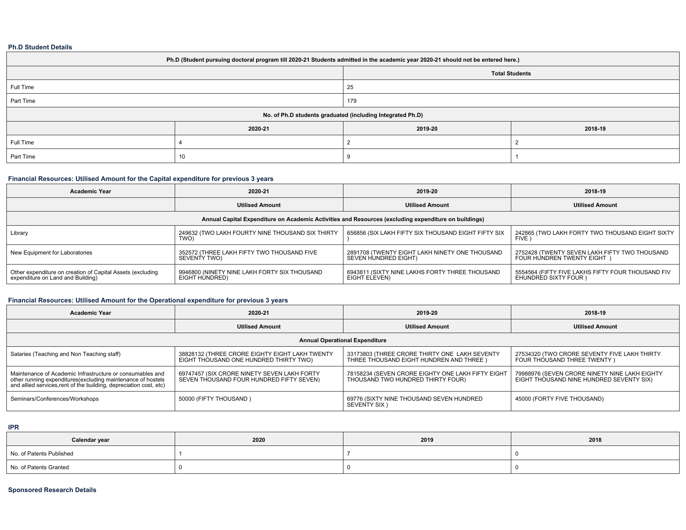#### **Ph.D Student Details**

| Ph.D (Student pursuing doctoral program till 2020-21 Students admitted in the academic year 2020-21 should not be entered here.) |         |         |         |  |  |  |  |
|----------------------------------------------------------------------------------------------------------------------------------|---------|---------|---------|--|--|--|--|
| <b>Total Students</b>                                                                                                            |         |         |         |  |  |  |  |
| Full Time                                                                                                                        |         | 25      |         |  |  |  |  |
| Part Time                                                                                                                        |         | 179     |         |  |  |  |  |
| No. of Ph.D students graduated (including Integrated Ph.D)                                                                       |         |         |         |  |  |  |  |
|                                                                                                                                  | 2020-21 | 2019-20 | 2018-19 |  |  |  |  |
| Full Time                                                                                                                        |         |         |         |  |  |  |  |
| Part Time                                                                                                                        | 10      |         |         |  |  |  |  |

### **Financial Resources: Utilised Amount for the Capital expenditure for previous 3 years**

| <b>Academic Year</b>                                                                                 | 2020-21                                                        | 2019-20                                                                | 2018-19                                                                    |  |  |  |  |  |
|------------------------------------------------------------------------------------------------------|----------------------------------------------------------------|------------------------------------------------------------------------|----------------------------------------------------------------------------|--|--|--|--|--|
|                                                                                                      | <b>Utilised Amount</b>                                         | <b>Utilised Amount</b>                                                 | <b>Utilised Amount</b>                                                     |  |  |  |  |  |
| Annual Capital Expenditure on Academic Activities and Resources (excluding expenditure on buildings) |                                                                |                                                                        |                                                                            |  |  |  |  |  |
| Library                                                                                              | 249632 (TWO LAKH FOURTY NINE THOUSAND SIX THIRTY<br>TWO)       | 656856 (SIX LAKH FIFTY SIX THOUSAND EIGHT FIFTY SIX                    | 242865 (TWO LAKH FORTY TWO THOUSAND EIGHT SIXTY<br>FIVE 1                  |  |  |  |  |  |
| New Equipment for Laboratories                                                                       | 352572 (THREE LAKH FIFTY TWO THOUSAND FIVE<br>SEVENTY TWO)     | 2891708 (TWENTY EIGHT LAKH NINETY ONE THOUSAND<br>SEVEN HUNDRED EIGHT) | 2752428 (TWENTY SEVEN LAKH FIFTY TWO THOUSAND<br>FOUR HUNDREN TWENTY EIGHT |  |  |  |  |  |
| Other expenditure on creation of Capital Assets (excluding<br>expenditure on Land and Building)      | 9946800 (NINETY NINE LAKH FORTY SIX THOUSAND<br>EIGHT HUNDRED) | 6943811 (SIXTY NINE LAKHS FORTY THREE THOUSAND<br>EIGHT ELEVEN)        | 5554564 (FIFTY FIVE LAKHS FIFTY FOUR THOUSAND FIV<br>EHUNDRED SIXTY FOUR ) |  |  |  |  |  |

### **Financial Resources: Utilised Amount for the Operational expenditure for previous 3 years**

| <b>Academic Year</b>                                                                                                                                                                           | 2020-21                                                                                  | 2019-20                                                                                   | 2018-19                                                                                   |  |  |  |  |  |  |
|------------------------------------------------------------------------------------------------------------------------------------------------------------------------------------------------|------------------------------------------------------------------------------------------|-------------------------------------------------------------------------------------------|-------------------------------------------------------------------------------------------|--|--|--|--|--|--|
|                                                                                                                                                                                                | <b>Utilised Amount</b>                                                                   | <b>Utilised Amount</b>                                                                    | <b>Utilised Amount</b>                                                                    |  |  |  |  |  |  |
| <b>Annual Operational Expenditure</b>                                                                                                                                                          |                                                                                          |                                                                                           |                                                                                           |  |  |  |  |  |  |
| Salaries (Teaching and Non Teaching staff)                                                                                                                                                     | 38828132 (THREE CRORE EIGHTY EIGHT LAKH TWENTY<br>EIGHT THOUSAND ONE HUNDRED THIRTY TWO) | 33173803 (THREE CRORE THIRTY ONE LAKH SEVENTY<br>THREE THOUSAND EIGHT HUNDREN AND THREE ) | 27534320 (TWO CRORE SEVENTY FIVE LAKH THIRTY<br>FOUR THOUSAND THREE TWENTY )              |  |  |  |  |  |  |
| Maintenance of Academic Infrastructure or consumables and<br>other running expenditures (excluding maintenance of hostels<br>and allied services rent of the building, depreciation cost, etc) | 69747457 (SIX CRORE NINETY SEVEN LAKH FORTY<br>SEVEN THOUSAND FOUR HUNDRED FIFTY SEVEN)  | 78158234 (SEVEN CRORE EIGHTY ONE LAKH FIFTY EIGHT<br>THOUSAND TWO HUNDRED THIRTY FOUR)    | 79988976 (SEVEN CRORE NINETY NINE LAKH EIGHTY<br>EIGHT THOUSAND NINE HUNDRED SEVENTY SIX) |  |  |  |  |  |  |
| Seminars/Conferences/Workshops                                                                                                                                                                 | 50000 (FIFTY THOUSAND)                                                                   | 69776 (SIXTY NINE THOUSAND SEVEN HUNDRED<br><b>SEVENTY SIX</b> )                          | 45000 (FORTY FIVE THOUSAND)                                                               |  |  |  |  |  |  |

#### **IPR**

| Calendar year            | 2020 | 2019 | 2018 |
|--------------------------|------|------|------|
| No. of Patents Published |      |      |      |
| No. of Patents Granted   |      |      |      |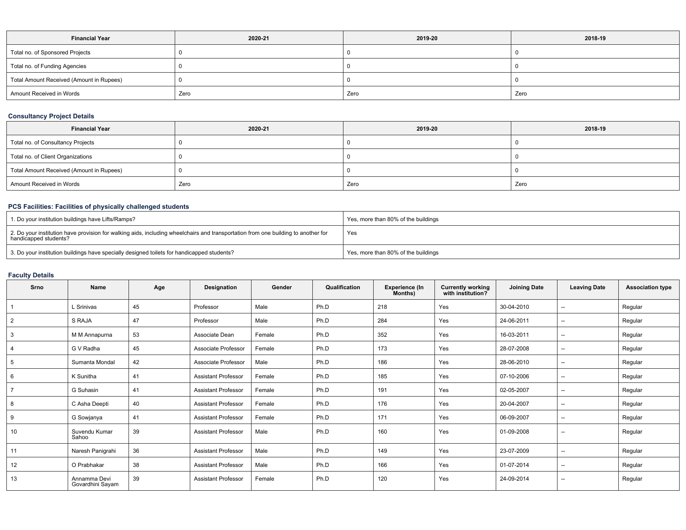| <b>Financial Year</b>                    | 2020-21 | 2019-20 | 2018-19 |  |
|------------------------------------------|---------|---------|---------|--|
| Total no. of Sponsored Projects          |         |         |         |  |
| Total no. of Funding Agencies            |         |         |         |  |
| Total Amount Received (Amount in Rupees) |         |         |         |  |
| Amount Received in Words                 | Zero    | Zero    | Zero    |  |

# **Consultancy Project Details**

| <b>Financial Year</b>                    | 2020-21 | 2019-20 | 2018-19 |  |
|------------------------------------------|---------|---------|---------|--|
| Total no. of Consultancy Projects        |         |         |         |  |
| Total no. of Client Organizations        |         |         |         |  |
| Total Amount Received (Amount in Rupees) |         |         |         |  |
| Amount Received in Words                 | Zero    | Zero    | Zero    |  |

### **PCS Facilities: Facilities of physically challenged students**

| 1. Do your institution buildings have Lifts/Ramps?                                                                                                         | Yes, more than 80% of the buildings |
|------------------------------------------------------------------------------------------------------------------------------------------------------------|-------------------------------------|
| 2. Do your institution have provision for walking aids, including wheelchairs and transportation from one building to another for<br>handicapped students? | Yes                                 |
| 3. Do your institution buildings have specially designed toilets for handicapped students?                                                                 | Yes, more than 80% of the buildings |

# **Faculty Details**

| Srno           | Name                             | Age | Designation                | Gender | Qualification | <b>Experience (In</b><br>Months) | Currently working<br>with institution? | <b>Joining Date</b> | <b>Leaving Date</b>      | <b>Association type</b> |
|----------------|----------------------------------|-----|----------------------------|--------|---------------|----------------------------------|----------------------------------------|---------------------|--------------------------|-------------------------|
|                | L Srinivas                       | 45  | Professor                  | Male   | Ph.D          | 218                              | Yes                                    | 30-04-2010          | --                       | Regular                 |
| $\overline{2}$ | S RAJA                           | 47  | Professor                  | Male   | Ph.D          | 284                              | Yes                                    | 24-06-2011          | $\overline{\phantom{a}}$ | Regular                 |
| 3              | M M Annapurna                    | 53  | Associate Dean             | Female | Ph.D          | 352                              | Yes                                    | 16-03-2011          | $\overline{\phantom{a}}$ | Regular                 |
|                | G V Radha                        | 45  | Associate Professor        | Female | Ph.D          | 173                              | Yes                                    | 28-07-2008          | $- -$                    | Regular                 |
| 5              | Sumanta Mondal                   | 42  | Associate Professor        | Male   | Ph.D          | 186                              | Yes                                    | 28-06-2010          | $- -$                    | Regular                 |
| 6              | K Sunitha                        | 41  | <b>Assistant Professor</b> | Female | Ph.D          | 185                              | Yes                                    | 07-10-2006          | $- -$                    | Regular                 |
|                | G Suhasin                        | 41  | <b>Assistant Professor</b> | Female | Ph.D          | 191                              | Yes                                    | 02-05-2007          | $- -$                    | Regular                 |
| 8              | C Asha Deepti                    | 40  | <b>Assistant Professor</b> | Female | Ph.D          | 176                              | Yes                                    | 20-04-2007          | $\overline{\phantom{a}}$ | Regular                 |
| 9              | G Sowjanya                       | 41  | <b>Assistant Professor</b> | Female | Ph.D          | 171                              | Yes                                    | 06-09-2007          | $\overline{\phantom{a}}$ | Regular                 |
| 10             | Suvendu Kumar<br>Sahoo           | 39  | <b>Assistant Professor</b> | Male   | Ph.D          | 160                              | Yes                                    | 01-09-2008          | --                       | Regular                 |
| 11             | Naresh Panigrahi                 | 36  | <b>Assistant Professor</b> | Male   | Ph.D          | 149                              | Yes                                    | 23-07-2009          | $\hspace{0.05cm}$        | Regular                 |
| 12             | O Prabhakar                      | 38  | <b>Assistant Professor</b> | Male   | Ph.D          | 166                              | Yes                                    | 01-07-2014          | $- -$                    | Regular                 |
| 13             | Annamma Devi<br>Govardhini Sayam | 39  | <b>Assistant Professor</b> | Female | Ph.D          | 120                              | Yes                                    | 24-09-2014          | $\overline{\phantom{a}}$ | Regular                 |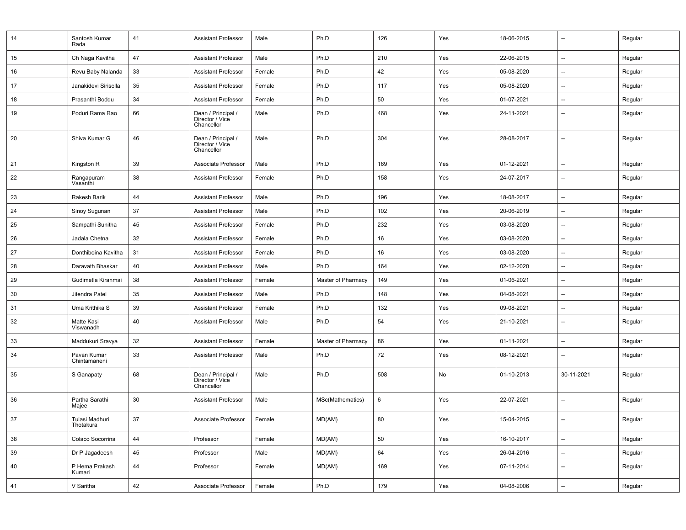| 14 | Santosh Kumar<br>Rada       | 41     | <b>Assistant Professor</b>                          | Male   | Ph.D               | 126 | Yes | 18-06-2015 | --                       | Regular |
|----|-----------------------------|--------|-----------------------------------------------------|--------|--------------------|-----|-----|------------|--------------------------|---------|
| 15 | Ch Naga Kavitha             | 47     | <b>Assistant Professor</b>                          | Male   | Ph.D               | 210 | Yes | 22-06-2015 | --                       | Regular |
| 16 | Revu Baby Nalanda           | 33     | Assistant Professor                                 | Female | Ph.D               | 42  | Yes | 05-08-2020 | --                       | Regular |
| 17 | Janakidevi Sirisolla        | 35     | <b>Assistant Professor</b>                          | Female | Ph.D               | 117 | Yes | 05-08-2020 | $\overline{\phantom{a}}$ | Regular |
| 18 | Prasanthi Boddu             | 34     | <b>Assistant Professor</b>                          | Female | Ph.D               | 50  | Yes | 01-07-2021 | $\overline{\phantom{a}}$ | Regular |
| 19 | Poduri Rama Rao             | 66     | Dean / Principal /<br>Director / Vice<br>Chancellor | Male   | Ph.D               | 468 | Yes | 24-11-2021 | $\overline{\phantom{a}}$ | Regular |
| 20 | Shiva Kumar G               | 46     | Dean / Principal /<br>Director / Vice<br>Chancellor | Male   | Ph.D               | 304 | Yes | 28-08-2017 | $\overline{\phantom{a}}$ | Regular |
| 21 | Kingston R                  | 39     | Associate Professor                                 | Male   | Ph.D               | 169 | Yes | 01-12-2021 | --                       | Regular |
| 22 | Rangapuram<br>Vasanthi      | 38     | Assistant Professor                                 | Female | Ph.D               | 158 | Yes | 24-07-2017 | --                       | Regular |
| 23 | Rakesh Barik                | 44     | <b>Assistant Professor</b>                          | Male   | Ph.D               | 196 | Yes | 18-08-2017 | $\overline{\phantom{a}}$ | Regular |
| 24 | Sinoy Sugunan               | 37     | <b>Assistant Professor</b>                          | Male   | Ph.D               | 102 | Yes | 20-06-2019 | $\overline{\phantom{a}}$ | Regular |
| 25 | Sampathi Sunitha            | 45     | Assistant Professor                                 | Female | Ph.D               | 232 | Yes | 03-08-2020 | $\overline{\phantom{a}}$ | Regular |
| 26 | Jadala Chetna               | 32     | <b>Assistant Professor</b>                          | Female | Ph.D               | 16  | Yes | 03-08-2020 | $\overline{\phantom{a}}$ | Regular |
| 27 | Donthiboina Kavitha         | 31     | <b>Assistant Professor</b>                          | Female | Ph.D               | 16  | Yes | 03-08-2020 | $\overline{a}$           | Regular |
| 28 | Daravath Bhaskar            | 40     | <b>Assistant Professor</b>                          | Male   | Ph.D               | 164 | Yes | 02-12-2020 | $\overline{\phantom{a}}$ | Regular |
| 29 | Gudimetla Kiranmai          | 38     | <b>Assistant Professor</b>                          | Female | Master of Pharmacy | 149 | Yes | 01-06-2021 | $\overline{\phantom{a}}$ | Regular |
| 30 | Jitendra Patel              | 35     | <b>Assistant Professor</b>                          | Male   | Ph.D               | 148 | Yes | 04-08-2021 | $\overline{\phantom{a}}$ | Regular |
| 31 | Uma Krithika S              | 39     | <b>Assistant Professor</b>                          | Female | Ph.D               | 132 | Yes | 09-08-2021 | --                       | Regular |
| 32 | Matte Kasi<br>Viswanadh     | 40     | <b>Assistant Professor</b>                          | Male   | Ph.D               | 54  | Yes | 21-10-2021 | --                       | Regular |
| 33 | Maddukuri Sravya            | 32     | <b>Assistant Professor</b>                          | Female | Master of Pharmacy | 86  | Yes | 01-11-2021 | $\overline{\phantom{a}}$ | Regular |
| 34 | Pavan Kumar<br>Chintamaneni | 33     | Assistant Professor                                 | Male   | Ph.D               | 72  | Yes | 08-12-2021 | --                       | Regular |
| 35 | S Ganapaty                  | 68     | Dean / Principal /<br>Director / Vice<br>Chancellor | Male   | Ph.D               | 508 | No  | 01-10-2013 | 30-11-2021               | Regular |
| 36 | Partha Sarathi<br>Majee     | 30     | <b>Assistant Professor</b>                          | Male   | MSc(Mathematics)   | 6   | Yes | 22-07-2021 | $\overline{\phantom{0}}$ | Regular |
| 37 | Tulasi Madhuri<br>Thotakura | $37\,$ | Associate Professor                                 | Female | MD(AM)             | 80  | Yes | 15-04-2015 |                          | Regular |
| 38 | Colaco Socorrina            | $44\,$ | Professor                                           | Female | MD(AM)             | 50  | Yes | 16-10-2017 | $\overline{\phantom{a}}$ | Regular |
| 39 | Dr P Jagadeesh              | 45     | Professor                                           | Male   | MD(AM)             | 64  | Yes | 26-04-2016 | --                       | Regular |
| 40 | P Hema Prakash<br>Kumari    | 44     | Professor                                           | Female | MD(AM)             | 169 | Yes | 07-11-2014 | Щ,                       | Regular |
| 41 | V Saritha                   | 42     | Associate Professor                                 | Female | Ph.D               | 179 | Yes | 04-08-2006 | $\overline{\phantom{a}}$ | Regular |